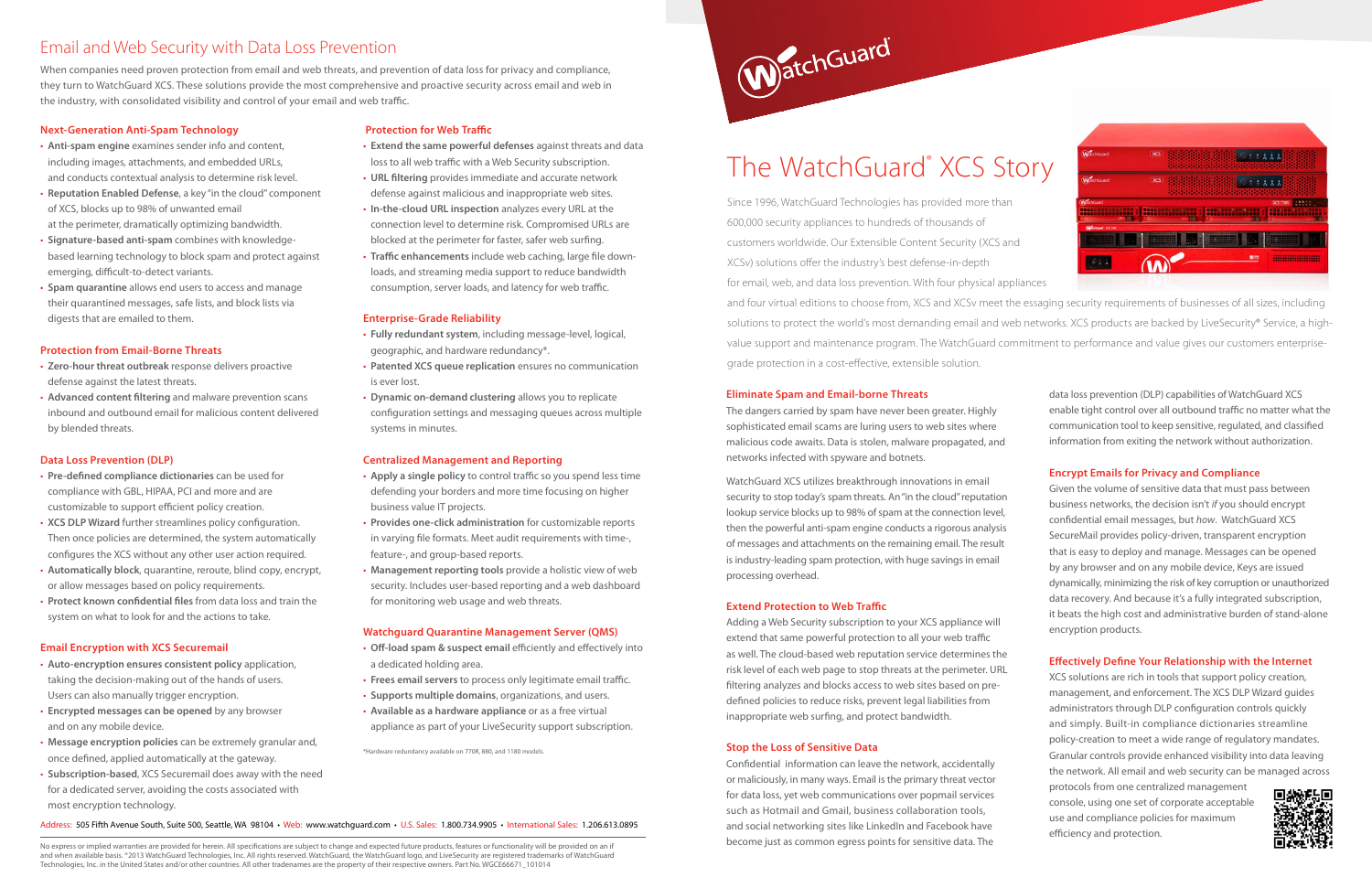data loss prevention (DLP) capabilities of WatchGuard XCS enable tight control over all outbound traffic no matter what the communication tool to keep sensitive, regulated, and classified information from exiting the network without authorization.

### **Encrypt Emails for Privacy and Compliance**

Given the volume of sensitive data that must pass between business networks, the decision isn't *if* you should encrypt confidential email messages, but *how*. WatchGuard XCS SecureMail provides policy-driven, transparent encryption that is easy to deploy and manage. Messages can be opened by any browser and on any mobile device, Keys are issued dynamically, minimizing the risk of key corruption or unauthorized data recovery. And because it's a fully integrated subscription, it beats the high cost and administrative burden of stand-alone encryption products.

### **Effectively Define Your Relationship with the Internet**

XCS solutions are rich in tools that support policy creation, management, and enforcement. The XCS DLP Wizard guides administrators through DLP configuration controls quickly and simply. Built-in compliance dictionaries streamline policy-creation to meet a wide range of regulatory mandates. Granular controls provide enhanced visibility into data leaving the network. All email and web security can be managed across

protocols from one centralized management console, using one set of corporate acceptable use and compliance policies for maximum efficiency and protection.



### **Next-Generation Anti-Spam Technology**

- **Anti-spam engine** examines sender info and content, including images, attachments, and embedded URLs, and conducts contextual analysis to determine risk level.
- **Reputation Enabled Defense**, a key "in the cloud" component of XCS, blocks up to 98% of unwanted email at the perimeter, dramatically optimizing bandwidth.
- **Signature-based anti-spam** combines with knowledgebased learning technology to block spam and protect against emerging, difficult-to-detect variants.
- **Spam quarantine** allows end users to access and manage their quarantined messages, safe lists, and block lists via digests that are emailed to them.

### **Protection from Email-Borne Threats**

- **Zero-hour threat outbreak** response delivers proactive defense against the latest threats.
- **Advanced content filtering** and malware prevention scans inbound and outbound email for malicious content delivered by blended threats.

### **Data Loss Prevention (DLP)**

- **Pre-defined compliance dictionaries** can be used for compliance with GBL, HIPAA, PCI and more and are customizable to support efficient policy creation.
- **XCS DLP Wizard** further streamlines policy configuration. Then once policies are determined, the system automatically configures the XCS without any other user action required.
- **Automatically block**, quarantine, reroute, blind copy, encrypt, or allow messages based on policy requirements.
- **Protect known confidential files** from data loss and train the system on what to look for and the actions to take.

### **Email Encryption with XCS Securemail**

- **Auto-encryption ensures consistent policy** application, taking the decision-making out of the hands of users. Users can also manually trigger encryption.
- **Encrypted messages can be opened** by any browser and on any mobile device.
- **Message encryption policies** can be extremely granular and, once defined, applied automatically at the gateway.
- **Subscription-based**, XCS Securemail does away with the need for a dedicated server, avoiding the costs associated with most encryption technology.

### **Protection for Web Traffic**

- **Extend the same powerful defenses** against threats and data loss to all web traffic with a Web Security subscription.
- **URL filtering** provides immediate and accurate network defense against malicious and inappropriate web sites.
- **In-the-cloud URL inspection** analyzes every URL at the connection level to determine risk. Compromised URLs are blocked at the perimeter for faster, safer web surfing.
- **Traffic enhancements** include web caching, large file downloads, and streaming media support to reduce bandwidth consumption, server loads, and latency for web traffic.

### **Enterprise-Grade Reliability**

- **Fully redundant system**, including message-level, logical, geographic, and hardware redundancy\*.
- **Patented XCS queue replication** ensures no communication is ever lost.
- **Dynamic on-demand clustering** allows you to replicate configuration settings and messaging queues across multiple systems in minutes.

### **Centralized Management and Reporting**

- **Apply a single policy** to control traffic so you spend less time defending your borders and more time focusing on higher business value IT projects.
- **Provides one-click administration** for customizable reports in varying file formats. Meet audit requirements with time-, feature-, and group-based reports.
- **Management reporting tools** provide a holistic view of web security. Includes user-based reporting and a web dashboard for monitoring web usage and web threats.

### **Watchguard Quarantine Management Server (QMS)**

- **Off-load spam & suspect email** efficiently and effectively into a dedicated holding area.
- **Frees email servers** to process only legitimate email traffic.
- **Supports multiple domains**, organizations, and users.
- **Available as a hardware appliance** or as a free virtual appliance as part of your LiveSecurity support subscription.

\*Hardware redundancy available on 770R, 880, and 1180 models.



### Email and Web Security with Data Loss Prevention

When companies need proven protection from email and web threats, and prevention of data loss for privacy and compliance, they turn to WatchGuard XCS. These solutions provide the most comprehensive and proactive security across email and web in the industry, with consolidated visibility and control of your email and web traffic.

# The WatchGuard® XCS Story

Since 1996, WatchGuard Technologies has provided more than 600,000 security appliances to hundreds of thousands of customers worldwide. Our Extensible Content Security (XCS and XCSv) solutions offer the industry's best defense-in-depth for email, web, and data loss prevention. With four physical appliances and four virtual editions to choose from, XCS and XCSv meet the essaging security requirements of businesses of all sizes, including solutions to protect the world's most demanding email and web networks. XCS products are backed by LiveSecurity® Service, a highvalue support and maintenance program. The WatchGuard commitment to performance and value gives our customers enterprisegrade protection in a cost-effective, extensible solution.

No express or implied warranties are provided for herein. All specifications are subject to change and expected future products, features or functionality will be provided on an if and when available basis. ®2013 WatchGuard Technologies, Inc. All rights reserved. WatchGuard, the WatchGuard logo, and LiveSecurity are registered trademarks of WatchGuard Technologies, Inc. in the United States and/or other countries. All other tradenames are the property of their respective owners. Part No. WGCE66671\_101014

| <b>WatchGuard</b>                 | <b>XCS</b>                             | 5.1.1<br>76<br>÷<br><u> Konstantino e se esperantino e </u>                   |
|-----------------------------------|----------------------------------------|-------------------------------------------------------------------------------|
| <b>WatchGuard</b>                 | <b>XCS</b>                             | 一<br>古本<br>÷<br><u> Indiana de la provincia de la provincia de l</u>          |
| <b>WatchGuard</b>                 |                                        | <b>XCS 770R</b><br>25522                                                      |
| <b>GOD</b><br>USSABBBBBBBBBB<br>m | 在国内的东西的变体<br>œ<br><b></b><br><b>FT</b> | <b>BOR000</b><br><b>MARINE ROB</b><br>œ<br>ш.<br><b></b><br>***********<br>лт |
| <b>WindGunt</b> XCS 1180          |                                        |                                                                               |
|                                   |                                        |                                                                               |
|                                   |                                        | ********************<br>●图<br><b></b><br><br>********************             |

Address: 505 Fifth Avenue South, Suite 500, Seattle, WA 98104 • Web: www.watchguard.com • U.S. Sales: 1.800.734.9905 • International Sales: 1.206.613.0895

### **Eliminate Spam and Email-borne Threats**

The dangers carried by spam have never been greater. Highly sophisticated email scams are luring users to web sites where malicious code awaits. Data is stolen, malware propagated, and networks infected with spyware and botnets.

WatchGuard XCS utilizes breakthrough innovations in email security to stop today's spam threats. An "in the cloud" reputation lookup service blocks up to 98% of spam at the connection level, then the powerful anti-spam engine conducts a rigorous analysis of messages and attachments on the remaining email. The result is industry-leading spam protection, with huge savings in email processing overhead.

### **Extend Protection to Web Traffic**

Adding a Web Security subscription to your XCS appliance will extend that same powerful protection to all your web traffic as well. The cloud-based web reputation service determines the risk level of each web page to stop threats at the perimeter. URL filtering analyzes and blocks access to web sites based on predefined policies to reduce risks, prevent legal liabilities from inappropriate web surfing, and protect bandwidth.

### **Stop the Loss of Sensitive Data**

Confidential information can leave the network, accidentally or maliciously, in many ways. Email is the primary threat vector for data loss, yet web communications over popmail services such as Hotmail and Gmail, business collaboration tools, and social networking sites like LinkedIn and Facebook have become just as common egress points for sensitive data. The